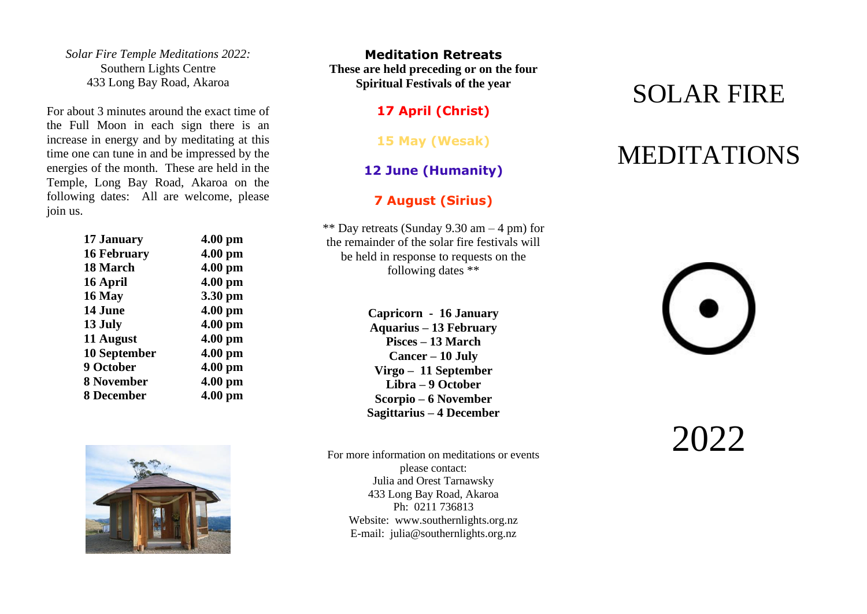*Solar Fire Temple Meditations 2022:* Southern Lights Centre 433 Long Bay Road, Akaroa

For about 3 minutes around the exact time of the Full Moon in each sign there is an increase in energy and by meditating at this time one can tune in and be impressed by the energies of the month. These are held in the Temple, Long Bay Road, Akaroa on the following dates: All are welcome, please join us.

| 17 January         | $4.00$ pm |
|--------------------|-----------|
| <b>16 February</b> | $4.00$ pm |
| 18 March           | 4.00 pm   |
| 16 April           | 4.00 pm   |
| 16 May             | 3.30 pm   |
| 14 June            | 4.00 pm   |
| 13 July            | 4.00 pm   |
| 11 August          | $4.00$ pm |
| 10 September       | 4.00 pm   |
| 9 October          | $4.00$ pm |
| 8 November         | 4.00 pm   |
| 8 December         | $4.00$ pm |
|                    |           |



**Meditation Retreats These are held preceding or on the four Spiritual Festivals of the year**

**17 April (Christ)**

**15 May (Wesak)**

### **12 June (Humanity)**

#### **7 August (Sirius)**

\*\* Day retreats (Sunday 9.30 am  $-$  4 pm) for the remainder of the solar fire festivals will be held in response to requests on the following dates \*\*

> **Capricorn - 16 January Aquarius – 13 February Pisces – 13 March Cancer – 10 July Virgo – 11 September Libra – 9 October Scorpio – 6 November Sagittarius – 4 December**

For more information on meditations or events please contact: Julia and Orest Tarnawsky 433 Long Bay Road, Akaroa Ph: 0211 736813 Website: [www.southernlights.org.nz](http://www.southernlights.org.nz/) E-mail: julia@southernlights.org.nz

## SOLAR FIRE

# MEDITATIONS

 $2022$